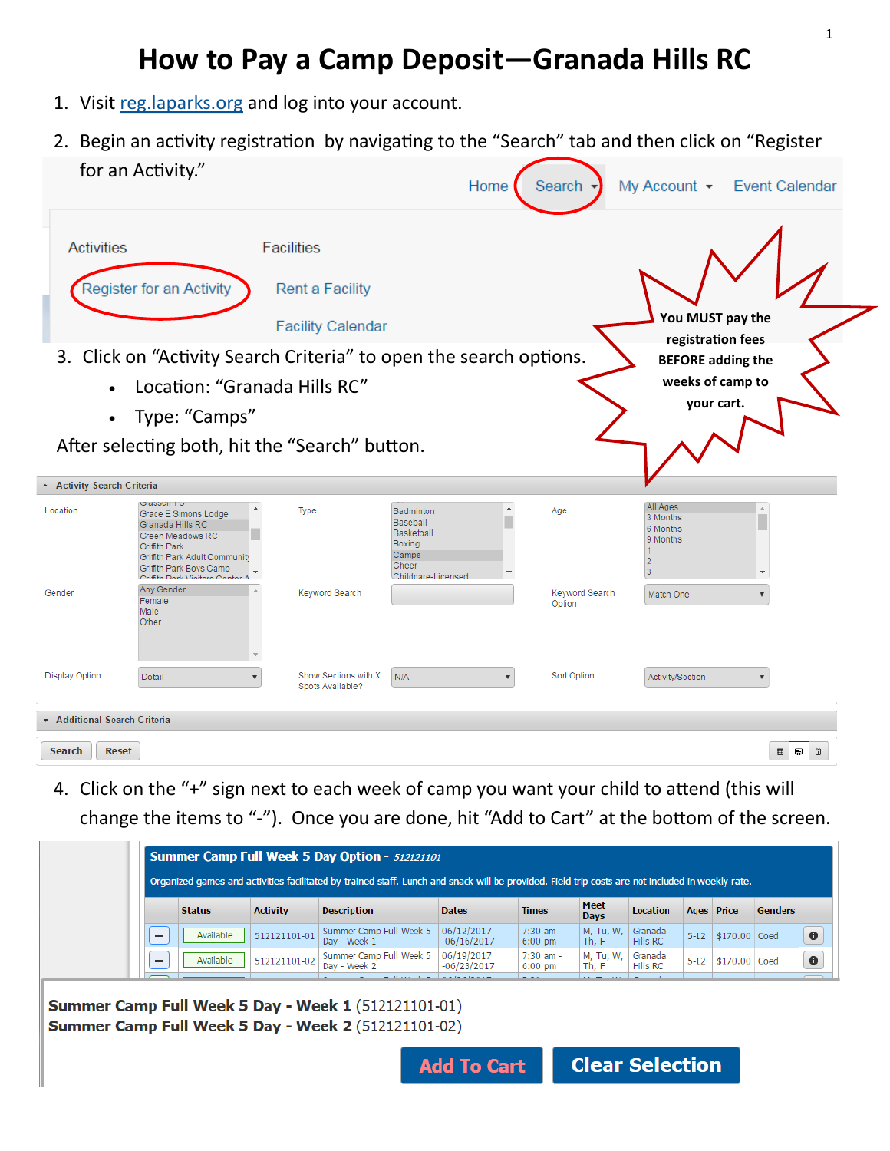# **How to Pay a Camp Deposit—Granada Hills RC**

- 1. Visit [reg.laparks.org](https://reg.laparks.org/web/wbwsc/webtrac.wsc/SPLASH.html) and log into your account.
- 2. Begin an activity registration by navigating to the "Search" tab and then click on "Register for an Activity."

|                                                  |                                                                                                                                                                                                                                 |                                                                         | Home                                                                                         |                         | Search -                        | My Account • Event Calendar                                                                      |
|--------------------------------------------------|---------------------------------------------------------------------------------------------------------------------------------------------------------------------------------------------------------------------------------|-------------------------------------------------------------------------|----------------------------------------------------------------------------------------------|-------------------------|---------------------------------|--------------------------------------------------------------------------------------------------|
| <b>Activities</b>                                | Register for an Activity                                                                                                                                                                                                        | <b>Facilities</b><br><b>Rent a Facility</b><br><b>Facility Calendar</b> |                                                                                              |                         |                                 | You MUST pay the<br>registration fees                                                            |
| $\bullet$<br>$\bullet$                           | 3. Click on "Activity Search Criteria" to open the search options.<br>Location: "Granada Hills RC"<br>Type: "Camps"<br>After selecting both, hit the "Search" button.                                                           |                                                                         |                                                                                              |                         |                                 | <b>BEFORE adding the</b><br>weeks of camp to<br>your cart.                                       |
| - Activity Search Criteria<br>Location<br>Gender | Uldssell TU<br>Grace E Simons Lodge<br>Granada Hills RC<br>Green Meadows RC<br><b>Griffith Park</b><br>Griffith Park Adult Community<br>Griffith Park Boys Camp<br>Osi#Hs Davis Vitali<br>Any Gender<br>Female<br>Male<br>Other | Type<br>Keyword Search                                                  | Badminton<br><b>Baseball</b><br>Basketball<br>Boxing<br>Camps<br>Cheer<br>Childcare-Licensed | $\blacktriangle$        | Age<br>Keyword Search<br>Option | All Ages<br>3 Months<br>6 Months<br>9 Months<br>12<br>3<br>$\overline{\phantom{a}}$<br>Match One |
| <b>Display Option</b>                            | Detail                                                                                                                                                                                                                          | Show Sections with X<br>Spots Available?                                | N/A                                                                                          | $\overline{\mathbf{v}}$ | Sort Option                     | Activity/Section                                                                                 |
| ▼ Additional Search Criteria                     |                                                                                                                                                                                                                                 |                                                                         |                                                                                              |                         |                                 |                                                                                                  |
| <b>Reset</b><br><b>Search</b>                    |                                                                                                                                                                                                                                 |                                                                         |                                                                                              |                         |                                 | Φ<br>ö<br>▦                                                                                      |

4. Click on the "+" sign next to each week of camp you want your child to attend (this will change the items to "-"). Once you are done, hit "Add to Cart" at the bottom of the screen.

| Summer Camp Full Week 5 Day Option - 512121101 |           |                 |                                         |                             |                                    |                            |                     |  |                                                                                                                                                                                                              |
|------------------------------------------------|-----------|-----------------|-----------------------------------------|-----------------------------|------------------------------------|----------------------------|---------------------|--|--------------------------------------------------------------------------------------------------------------------------------------------------------------------------------------------------------------|
|                                                |           | <b>Activity</b> | <b>Description</b>                      | <b>Dates</b>                | <b>Times</b>                       | <b>Meet</b><br><b>Days</b> | <b>Location</b>     |  | <b>Genders</b>                                                                                                                                                                                               |
|                                                | Available | 512121101-01    | Summer Camp Full Week 5<br>Day - Week 1 | 06/12/2017<br>$-06/16/2017$ | $7:30$ am -<br>$6:00 \text{ pm}$   | M, Tu, W,<br>Th, F         | Granada<br>Hills RC |  |                                                                                                                                                                                                              |
|                                                | Available | 512121101-02    | Summer Camp Full Week 5<br>Day - Week 2 | 06/19/2017<br>$-06/23/2017$ | $7:30$ am $-$<br>$6:00 \text{ pm}$ | M, Tu, W,<br>Th, F         | Granada<br>Hills RC |  | Coed                                                                                                                                                                                                         |
|                                                |           | <b>Status</b>   |                                         |                             |                                    |                            |                     |  | Organized games and activities facilitated by trained staff. Lunch and snack will be provided. Field trip costs are not included in weekly rate.<br>Ages Price<br>5-12 \$170.00 Coed<br>$5 - 12$<br>\$170.00 |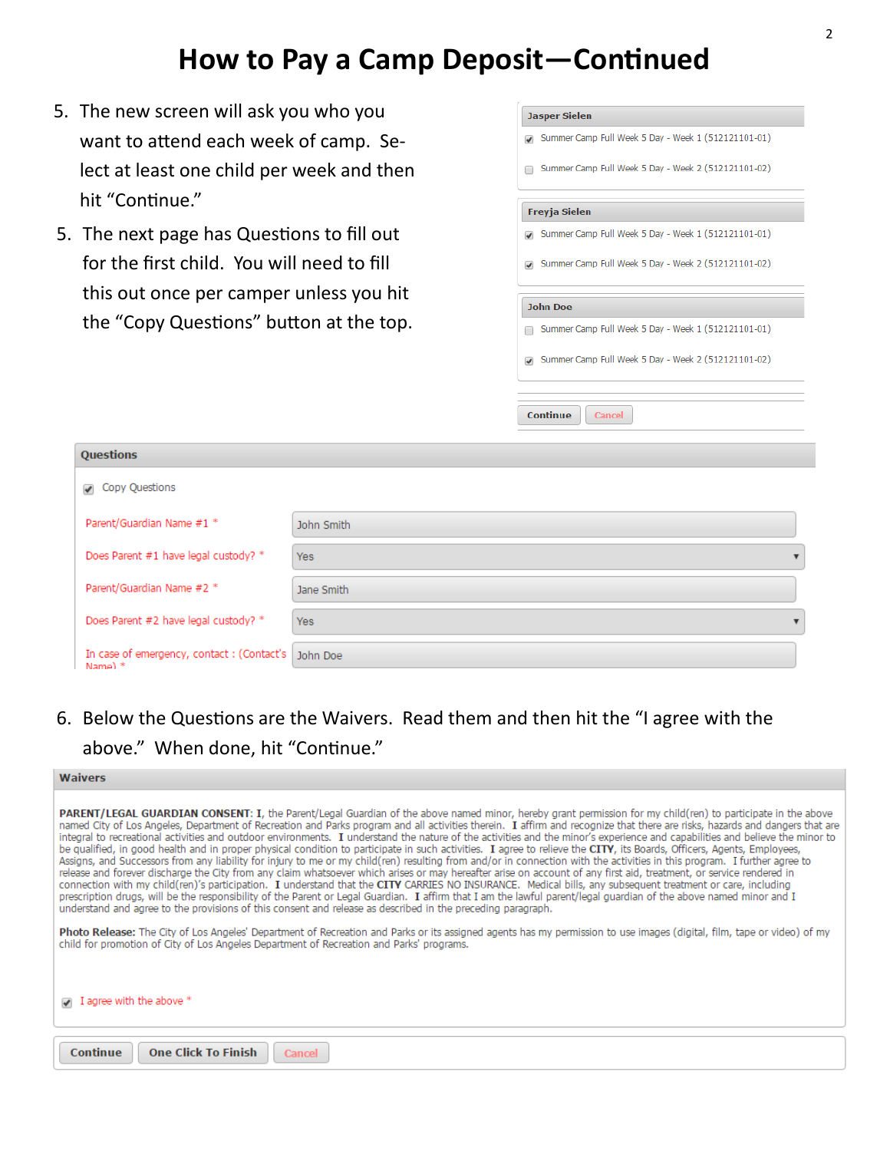#### **How to Pay a Camp Deposit—Continued**

- 5. The new screen will ask you who you want to attend each week of camp. Select at least one child per week and then hit "Continue."
- 5. The next page has Questions to fill out for the first child. You will need to fill this out once per camper unless you hit the "Copy Questions" button at the top.

| <b>Jasper Sielen</b><br>7 Summer Camp Full Week 5 Day - Week 1 (512121101-01) |
|-------------------------------------------------------------------------------|
| Summer Camp Full Week 5 Day - Week 2 (512121101-02)                           |
| <b>Freyja Sielen</b>                                                          |
| 7 Summer Camp Full Week 5 Day - Week 1 (512121101-01)                         |
| 7 Summer Camp Full Week 5 Day - Week 2 (512121101-02)                         |
| <b>John Doe</b>                                                               |
| Summer Camp Full Week 5 Day - Week 1 (512121101-01)                           |
| 7 Summer Camp Full Week 5 Day - Week 2 (512121101-02)                         |
| Continue<br>Cancel                                                            |

| Questions                                               |            |
|---------------------------------------------------------|------------|
| Copy Questions<br>$\overline{\mathscr{I}}$              |            |
| Parent/Guardian Name #1 *                               | John Smith |
| Does Parent #1 have legal custody? *                    | Yes        |
| Parent/Guardian Name #2 *                               | Jane Smith |
| Does Parent #2 have legal custody? *                    | Yes.       |
| In case of emergency, contact : (Contact's<br>$Name)$ * | John Doe   |

6. Below the Questions are the Waivers. Read them and then hit the "I agree with the above." When done, hit "Continue."

| <b>Waivers</b> |  |  |  |
|----------------|--|--|--|
|                |  |  |  |

PARENT/LEGAL GUARDIAN CONSENT: I, the Parent/Legal Guardian of the above named minor, hereby grant permission for my child(ren) to participate in the above named City of Los Angeles, Department of Recreation and Parks program and all activities therein. I affirm and recognize that there are risks, hazards and dangers that are integral to recreational activities and outdoor environments. I understand the nature of the activities and the minor's experience and capabilities and believe the minor to be qualified, in good health and in proper physical condition to participate in such activities. I agree to relieve the CITY, its Boards, Officers, Agents, Employees, Assigns, and Successors from any liability for injury to me or my child(ren) resulting from and/or in connection with the activities in this program. I further agree to release and forever discharge the City from any claim whatsoever which arises or may hereafter arise on account of any first aid, treatment, or service rendered in connection with my child(ren)'s participation. I understand that the CITY CARRIES NO INSURANCE. Medical bills, any subsequent treatment or care, including prescription drugs, will be the responsibility of the Parent or Legal Guardian. I affirm that I am the lawful parent/legal guardian of the above named minor and I understand and agree to the provisions of this consent and release as described in the preceding paragraph.

Photo Release: The City of Los Angeles' Department of Recreation and Parks or its assigned agents has my permission to use images (digital, film, tape or video) of my child for promotion of City of Los Angeles Department of Recreation and Parks' programs.

| $\sqrt{ }$ I agree with the above $^*$ |  |
|----------------------------------------|--|
| Continue One Click To Finish Cancel    |  |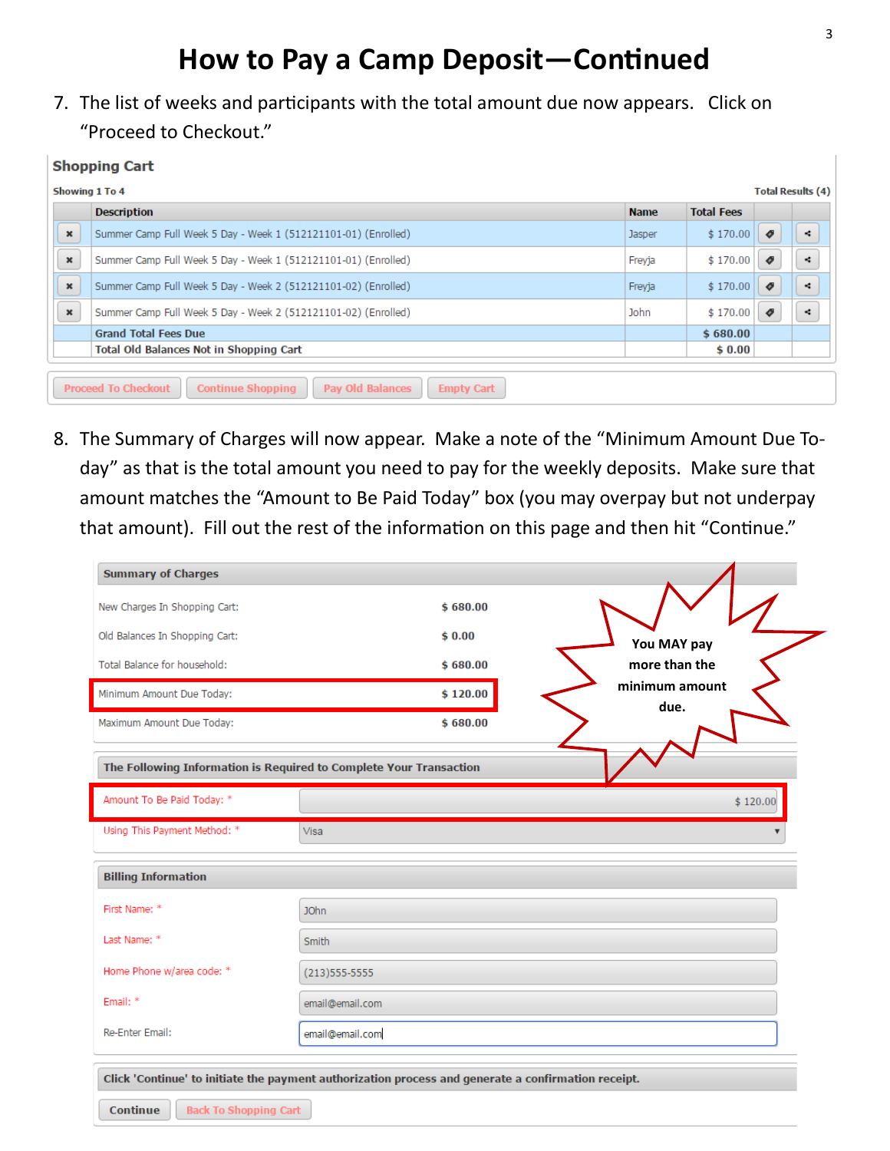# **How to Pay a Camp Deposit—Continued**

7. The list of weeks and participants with the total amount due now appears. Click on "Proceed to Checkout."

#### **Shopping Cart**

|                | <b>Showing 1 To 4</b>                                                                           |             |                   |                     | <b>Total Results (4)</b> |
|----------------|-------------------------------------------------------------------------------------------------|-------------|-------------------|---------------------|--------------------------|
|                | <b>Description</b>                                                                              | <b>Name</b> | <b>Total Fees</b> |                     |                          |
| $\pmb{\times}$ | Summer Camp Full Week 5 Day - Week 1 (512121101-01) (Enrolled)                                  | Jasper      | \$170.00          | $\bullet$           | ×.                       |
| $\pmb{\times}$ | Summer Camp Full Week 5 Day - Week 1 (512121101-01) (Enrolled)                                  | Freyja      | \$170.00          | $\boldsymbol{\phi}$ | ÷                        |
| $\pmb{\times}$ | Summer Camp Full Week 5 Day - Week 2 (512121101-02) (Enrolled)                                  | Freyja      | \$170.00          | $\boldsymbol{\phi}$ | ÷                        |
| $\pmb{\times}$ | Summer Camp Full Week 5 Day - Week 2 (512121101-02) (Enrolled)                                  | <b>John</b> | \$170.00          | $\boldsymbol{\phi}$ | ×.                       |
|                | <b>Grand Total Fees Due</b>                                                                     |             | \$680.00          |                     |                          |
|                | <b>Total Old Balances Not in Shopping Cart</b>                                                  |             | \$0.00            |                     |                          |
|                |                                                                                                 |             |                   |                     |                          |
|                | <b>Proceed To Checkout</b><br><b>Continue Shopping</b><br>Pay Old Balances<br><b>Empty Cart</b> |             |                   |                     |                          |

8. The Summary of Charges will now appear. Make a note of the "Minimum Amount Due Today" as that is the total amount you need to pay for the weekly deposits. Make sure that amount matches the "Amount to Be Paid Today" box (you may overpay but not underpay that amount). Fill out the rest of the information on this page and then hit "Continue."

| <b>Summary of Charges</b>                                                                                                            |                  |          |  |                        |          |
|--------------------------------------------------------------------------------------------------------------------------------------|------------------|----------|--|------------------------|----------|
| New Charges In Shopping Cart:                                                                                                        |                  | \$680.00 |  |                        |          |
| Old Balances In Shopping Cart:                                                                                                       |                  | \$0.00   |  | You MAY pay            |          |
| Total Balance for household:                                                                                                         |                  | \$680.00 |  | more than the          |          |
| Minimum Amount Due Today:                                                                                                            |                  | \$120.00 |  | minimum amount<br>due. |          |
| Maximum Amount Due Today:                                                                                                            |                  | \$680.00 |  |                        |          |
| The Following Information is Required to Complete Your Transaction                                                                   |                  |          |  |                        |          |
|                                                                                                                                      |                  |          |  |                        |          |
|                                                                                                                                      |                  |          |  |                        | \$120.00 |
|                                                                                                                                      | Visa             |          |  |                        |          |
|                                                                                                                                      |                  |          |  |                        |          |
|                                                                                                                                      | <b>JOhn</b>      |          |  |                        |          |
|                                                                                                                                      | <b>Smith</b>     |          |  |                        |          |
| <b>Billing Information</b>                                                                                                           | $(213)$ 555-5555 |          |  |                        |          |
| Amount To Be Paid Today: *<br>Using This Payment Method: *<br>First Name: *<br>Last Name: *<br>Home Phone w/area code: *<br>Email: * | email@email.com  |          |  |                        |          |

| Continue |  |  |  |  |
|----------|--|--|--|--|
|----------|--|--|--|--|